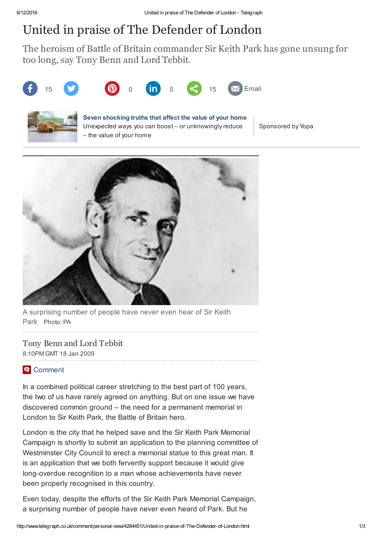## United in praise of The Defender of London

The heroism of Battle of Britain commander Sir Keith Park has gone unsung for too long, say Tony Benn and Lord Tebbit.





## [S](http://www.telegraph.co.uk/property/online-estate-agent/surprising-things-that-affect-value/?WT.mc_id=tmgspk_plr_1331_Al4QlbYDxClG&utm_source=tmgspk&utm_medium=plr&utm_content=1331&utm_campaign=tmgspk_plr_1331_Al4QlbYDxClG&plr=1)even [shocking](http://www.telegraph.co.uk/property/online-estate-agent/surprising-things-that-affect-value/?WT.mc_id=tmgspk_plr_1331_Al4QlbYDxClG&utm_source=tmgspk&utm_medium=plr&utm_content=1331&utm_campaign=tmgspk_plr_1331_Al4QlbYDxClG&plr=1) truths that affect the value of your home

Unexpected ways you can boost – or unknowingly reduce – the value of your home

Sponsored by Yopa



A surprising number of people have never even hear of Sir Keith Park Photo: PA

Tony Benn and Lord Tebbit

8:10PM GMT 18 Jan 2009

## **E** [Comment](http://www.telegraph.co.uk/comment/personal-view/4284451/United-in-praise-of-The-Defender-of-London.html#disqus_thread)

In a combined political career stretching to the best part of 100 years, the two of us have rarely agreed on anything. But on one issue we have discovered common ground – the need for a permanent memorial in London to Sir Keith Park, the Battle of Britain hero.

London is the city that he helped save and the Sir Keith Park Memorial Campaign is shortly to submit an application to the planning committee of Westminster City Council to erect a memorial statue to this great man. It is an application that we both fervently support because it would give long-overdue recognition to a man whose achievements have never been properly recognised in this country.

Even today, despite the efforts of the Sir Keith Park Memorial Campaign, a surprising number of people have never even heard of Park. But he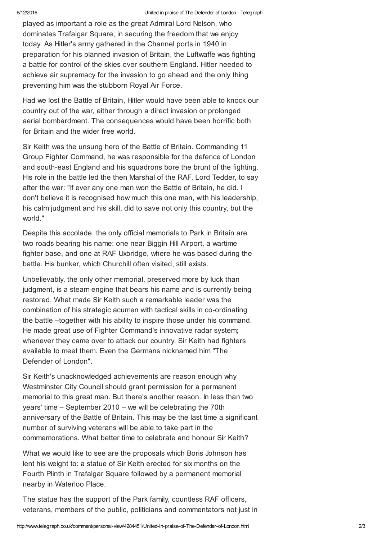played as important a role as the great Admiral Lord Nelson, who dominates Trafalgar Square, in securing the freedom that we enjoy today. As Hitler's army gathered in the Channel ports in 1940 in preparation for his planned invasion of Britain, the Luftwaffe was fighting a battle for control of the skies over southern England. Hitler needed to achieve air supremacy for the invasion to go ahead and the only thing preventing him was the stubborn Royal Air Force.

Had we lost the Battle of Britain, Hitler would have been able to knock our country out of the war, either through a direct invasion or prolonged aerial bombardment. The consequences would have been horrific both for Britain and the wider free world.

Sir Keith was the unsung hero of the Battle of Britain. Commanding 11 Group Fighter Command, he was responsible for the defence of London and south-east England and his squadrons bore the brunt of the fighting. His role in the battle led the then Marshal of the RAF, Lord Tedder, to say after the war: "If ever any one man won the Battle of Britain, he did. I don't believe it is recognised how much this one man, with his leadership, his calm judgment and his skill, did to save not only this country, but the world."

Despite this accolade, the only official memorials to Park in Britain are two roads bearing his name: one near Biggin Hill Airport, a wartime fighter base, and one at RAF Uxbridge, where he was based during the battle. His bunker, which Churchill often visited, still exists.

Unbelievably, the only other memorial, preserved more by luck than judgment, is a steam engine that bears his name and is currently being restored. What made Sir Keith such a remarkable leader was the combination of his strategic acumen with tactical skills in co-ordinating the battle –together with his ability to inspire those under his command. He made great use of Fighter Command's innovative radar system; whenever they came over to attack our country, Sir Keith had fighters available to meet them. Even the Germans nicknamed him "The Defender of London".

Sir Keith's unacknowledged achievements are reason enough why Westminster City Council should grant permission for a permanent memorial to this great man. But there's another reason. In less than two years' time – September 2010 – we will be celebrating the 70th anniversary of the Battle of Britain. This may be the last time a significant number of surviving veterans will be able to take part in the commemorations. What better time to celebrate and honour Sir Keith?

What we would like to see are the proposals which Boris Johnson has lent his weight to: a statue of Sir Keith erected for six months on the Fourth Plinth in Trafalgar Square followed by a permanent memorial nearby in Waterloo Place.

The statue has the support of the Park family, countless RAF officers, veterans, members of the public, politicians and commentators not just in